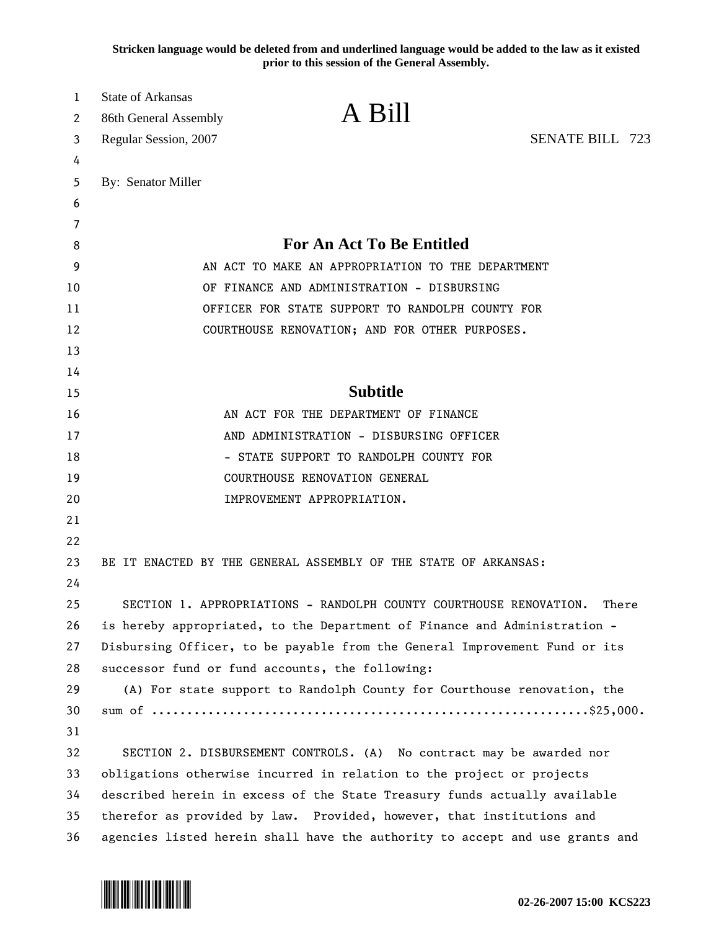**Stricken language would be deleted from and underlined language would be added to the law as it existed prior to this session of the General Assembly.**

| 1  | <b>State of Arkansas</b>                                                     | A Bill                                                               |                        |  |
|----|------------------------------------------------------------------------------|----------------------------------------------------------------------|------------------------|--|
| 2  | 86th General Assembly                                                        |                                                                      |                        |  |
| 3  | Regular Session, 2007                                                        |                                                                      | <b>SENATE BILL 723</b> |  |
| 4  |                                                                              |                                                                      |                        |  |
| 5  | By: Senator Miller                                                           |                                                                      |                        |  |
| 6  |                                                                              |                                                                      |                        |  |
| 7  |                                                                              |                                                                      |                        |  |
| 8  | For An Act To Be Entitled                                                    |                                                                      |                        |  |
| 9  | AN ACT TO MAKE AN APPROPRIATION TO THE DEPARTMENT                            |                                                                      |                        |  |
| 10 | OF FINANCE AND ADMINISTRATION - DISBURSING                                   |                                                                      |                        |  |
| 11 | OFFICER FOR STATE SUPPORT TO RANDOLPH COUNTY FOR                             |                                                                      |                        |  |
| 12 |                                                                              | COURTHOUSE RENOVATION; AND FOR OTHER PURPOSES.                       |                        |  |
| 13 |                                                                              |                                                                      |                        |  |
| 14 |                                                                              |                                                                      |                        |  |
| 15 |                                                                              | <b>Subtitle</b>                                                      |                        |  |
| 16 |                                                                              | AN ACT FOR THE DEPARTMENT OF FINANCE                                 |                        |  |
| 17 |                                                                              | AND ADMINISTRATION - DISBURSING OFFICER                              |                        |  |
| 18 |                                                                              | - STATE SUPPORT TO RANDOLPH COUNTY FOR                               |                        |  |
| 19 |                                                                              | COURTHOUSE RENOVATION GENERAL                                        |                        |  |
| 20 |                                                                              | IMPROVEMENT APPROPRIATION.                                           |                        |  |
| 21 |                                                                              |                                                                      |                        |  |
| 22 |                                                                              |                                                                      |                        |  |
| 23 |                                                                              | BE IT ENACTED BY THE GENERAL ASSEMBLY OF THE STATE OF ARKANSAS:      |                        |  |
| 24 |                                                                              |                                                                      |                        |  |
| 25 |                                                                              | SECTION 1. APPROPRIATIONS - RANDOLPH COUNTY COURTHOUSE RENOVATION.   | There                  |  |
| 26 | is hereby appropriated, to the Department of Finance and Administration -    |                                                                      |                        |  |
| 27 | Disbursing Officer, to be payable from the General Improvement Fund or its   |                                                                      |                        |  |
| 28 | successor fund or fund accounts, the following:                              |                                                                      |                        |  |
| 29 | (A) For state support to Randolph County for Courthouse renovation, the      |                                                                      |                        |  |
| 30 |                                                                              |                                                                      |                        |  |
| 31 |                                                                              |                                                                      |                        |  |
| 32 |                                                                              | SECTION 2. DISBURSEMENT CONTROLS. (A) No contract may be awarded nor |                        |  |
| 33 | obligations otherwise incurred in relation to the project or projects        |                                                                      |                        |  |
| 34 | described herein in excess of the State Treasury funds actually available    |                                                                      |                        |  |
| 35 | therefor as provided by law. Provided, however, that institutions and        |                                                                      |                        |  |
| 36 | agencies listed herein shall have the authority to accept and use grants and |                                                                      |                        |  |